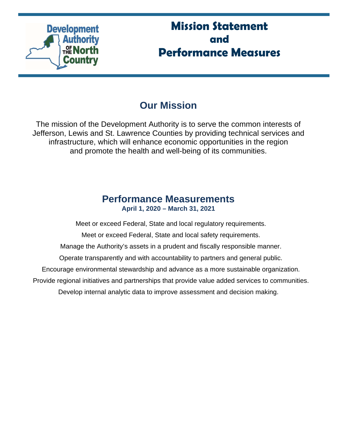

# **Mission Statement and Performance Measures**

# **Our Mission**

The mission of the Development Authority is to serve the common interests of Jefferson, Lewis and St. Lawrence Counties by providing technical services and infrastructure, which will enhance economic opportunities in the region and promote the health and well-being of its communities.

# **Performance Measurements April 1, 2020 – March 31, 2021**

Meet or exceed Federal, State and local regulatory requirements.

Meet or exceed Federal, State and local safety requirements.

Manage the Authority's assets in a prudent and fiscally responsible manner.

Operate transparently and with accountability to partners and general public.

Encourage environmental stewardship and advance as a more sustainable organization.

Provide regional initiatives and partnerships that provide value added services to communities.

Develop internal analytic data to improve assessment and decision making.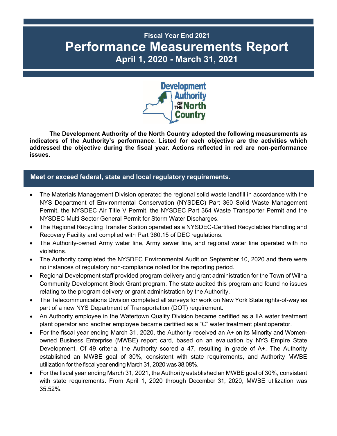# **Fiscal Year End 2021 Performance Measurements Report April 1, 2020 - March 31, 2021**



**The Development Authority of the North Country adopted the following measurements as indicators of the Authority's performance. Listed for each objective are the activities which addressed the objective during the fiscal year. Actions reflected in red are non-performance issues.** 

# **Meet or exceed federal, state and local regulatory requirements.**

- The Materials Management Division operated the regional solid waste landfill in accordance with the NYS Department of Environmental Conservation (NYSDEC) Part 360 Solid Waste Management Permit, the NYSDEC Air Title V Permit, the NYSDEC Part 364 Waste Transporter Permit and the NYSDEC Multi Sector General Permit for Storm Water Discharges.
- The Regional Recycling Transfer Station operated as a NYSDEC-Certified Recyclables Handling and Recovery Facility and complied with Part 360.15 of DEC regulations.
- The Authority-owned Army water line, Army sewer line, and regional water line operated with no violations.
- The Authority completed the NYSDEC Environmental Audit on September 10, 2020 and there were no instances of regulatory non-compliance noted for the reporting period.
- Regional Development staff provided program delivery and grant administration for the Town of Wilna Community Development Block Grant program. The state audited this program and found no issues relating to the program delivery or grant administration by the Authority.
- The Telecommunications Division completed all surveys for work on New York State rights-of-way as part of a new NYS Department of Transportation (DOT) requirement.
- An Authority employee in the Watertown Quality Division became certified as a IIA water treatment plant operator and another employee became certified as a "C" water treatment plant operator.
- For the fiscal year ending March 31, 2020, the Authority received an A+ on its Minority and Womenowned Business Enterprise (MWBE) report card, based on an evaluation by NYS Empire State Development. Of 49 criteria, the Authority scored a 47, resulting in grade of A+. The Authority established an MWBE goal of 30%, consistent with state requirements, and Authority MWBE utilization for the fiscal year ending March 31, 2020 was 38.08%.
- For the fiscal year ending March 31, 2021, the Authority established an MWBE goal of 30%, consistent with state requirements. From April 1, 2020 through December 31, 2020, MWBE utilization was 35.52%.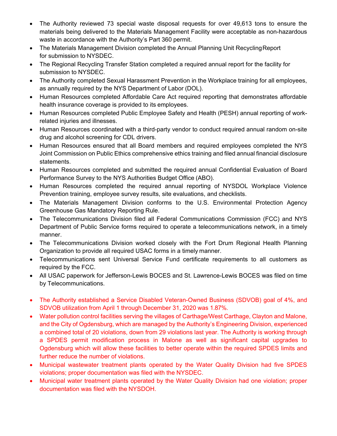- The Authority reviewed 73 special waste disposal requests for over 49,613 tons to ensure the materials being delivered to the Materials Management Facility were acceptable as non-hazardous waste in accordance with the Authority's Part 360 permit.
- The Materials Management Division completed the Annual Planning Unit Recycling Report for submission to NYSDEC.
- The Regional Recycling Transfer Station completed a required annual report for the facility for submission to NYSDEC.
- The Authority completed Sexual Harassment Prevention in the Workplace training for all employees, as annually required by the NYS Department of Labor (DOL).
- Human Resources completed Affordable Care Act required reporting that demonstrates affordable health insurance coverage is provided to its employees.
- Human Resources completed Public Employee Safety and Health (PESH) annual reporting of workrelated injuries and illnesses.
- Human Resources coordinated with a third-party vendor to conduct required annual random on-site drug and alcohol screening for CDL drivers.
- Human Resources ensured that all Board members and required employees completed the NYS Joint Commission on Public Ethics comprehensive ethics training and filed annual financial disclosure statements.
- Human Resources completed and submitted the required annual Confidential Evaluation of Board Performance Survey to the NYS Authorities Budget Office (ABO).
- Human Resources completed the required annual reporting of NYSDOL Workplace Violence Prevention training, employee survey results, site evaluations, and checklists.
- The Materials Management Division conforms to the U.S. Environmental Protection Agency Greenhouse Gas Mandatory Reporting Rule.
- The Telecommunications Division filed all Federal Communications Commission (FCC) and NYS Department of Public Service forms required to operate a telecommunications network, in a timely manner.
- The Telecommunications Division worked closely with the Fort Drum Regional Health Planning Organization to provide all required USAC forms in a timely manner.
- Telecommunications sent Universal Service Fund certificate requirements to all customers as required by the FCC.
- All USAC paperwork for Jefferson-Lewis BOCES and St. Lawrence-Lewis BOCES was filed on time by Telecommunications.
- The Authority established a Service Disabled Veteran-Owned Business (SDVOB) goal of 4%, and SDVOB utilization from April 1 through December 31, 2020 was 1.87%.
- Water pollution control facilities serving the villages of Carthage/West Carthage, Clayton and Malone, and the City of Ogdensburg, which are managed by the Authority's Engineering Division, experienced a combined total of 20 violations, down from 29 violations last year. The Authority is working through a SPDES permit modification process in Malone as well as significant capital upgrades to Ogdensburg which will allow these facilities to better operate within the required SPDES limits and further reduce the number of violations.
- Municipal wastewater treatment plants operated by the Water Quality Division had five SPDES violations; proper documentation was filed with the NYSDEC.
- Municipal water treatment plants operated by the Water Quality Division had one violation; proper documentation was filed with the NYSDOH.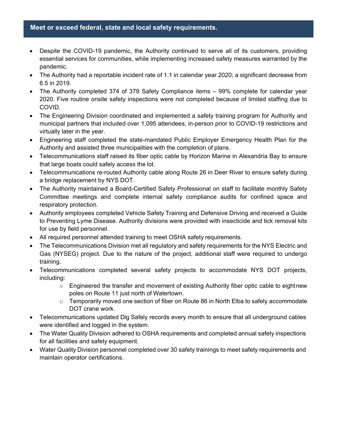#### **Meet or exceed federal, state and local safety requirements.**

- Despite the COVID-19 pandemic, the Authority continued to serve all of its customers, providing essential services for communities, while implementing increased safety measures warranted by the pandemic.
- The Authority had a reportable incident rate of 1.1 in calendar year 2020; a significant decrease from 6.5 in 2019.
- The Authority completed 374 of 379 Safety Compliance items 99% complete for calendar year 2020. Five routine onsite safety inspections were not completed because of limited staffing due to COVID.
- The Engineering Division coordinated and implemented a safety training program for Authority and municipal partners that included over 1,095 attendees, in-person prior to COVID-19 restrictions and virtually later in the year.
- Engineering staff completed the state-mandated Public Employer Emergency Health Plan for the Authority and assisted three municipalities with the completion of plans.
- Telecommunications staff raised its fiber optic cable by Horizon Marine in Alexandria Bay to ensure that large boats could safely access the lot.
- Telecommunications re-routed Authority cable along Route 26 in Deer River to ensure safety during a bridge replacement by NYS DOT.
- The Authority maintained a Board-Certified Safety Professional on staff to facilitate monthly Safety Committee meetings and complete internal safety compliance audits for confined space and respiratory protection.
- Authority employees completed Vehicle Safety Training and Defensive Driving and received a Guide to Preventing Lyme Disease. Authority divisions were provided with insecticide and tick removal kits for use by field personnel.
- All required personnel attended training to meet OSHA safety requirements.
- The Telecommunications Division met all regulatory and safety requirements for the NYS Electric and Gas (NYSEG) project. Due to the nature of the project, additional staff were required to undergo training.
- Telecommunications completed several safety projects to accommodate NYS DOT projects, including:
	- $\circ$  Engineered the transfer and movement of existing Authority fiber optic cable to eight new poles on Route 11 just north of Watertown.
	- o Temporarily moved one section of fiber on Route 86 in North Elba to safely accommodate DOT crane work.
- Telecommunications updated Dig Safely records every month to ensure that all underground cables were identified and logged in the system.
- The Water Quality Division adhered to OSHA requirements and completed annual safety inspections for all facilities and safety equipment.
- Water Quality Division personnel completed over 30 safety trainings to meet safety requirements and maintain operator certifications.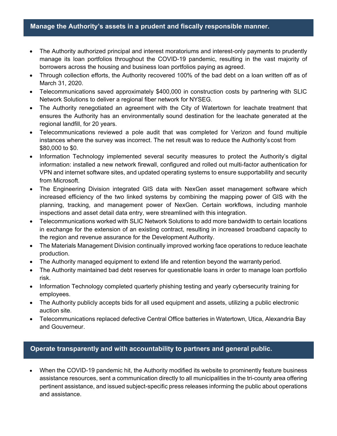#### **Manage the Authority's assets in a prudent and fiscally responsible manner.**

- The Authority authorized principal and interest moratoriums and interest-only payments to prudently manage its loan portfolios throughout the COVID-19 pandemic, resulting in the vast majority of borrowers across the housing and business loan portfolios paying as agreed.
- Through collection efforts, the Authority recovered 100% of the bad debt on a loan written off as of March 31, 2020.
- Telecommunications saved approximately \$400,000 in construction costs by partnering with SLIC Network Solutions to deliver a regional fiber network for NYSEG.
- The Authority renegotiated an agreement with the City of Watertown for leachate treatment that ensures the Authority has an environmentally sound destination for the leachate generated at the regional landfill, for 20 years.
- Telecommunications reviewed a pole audit that was completed for Verizon and found multiple instances where the survey was incorrect. The net result was to reduce the Authority's cost from \$80,000 to \$0.
- Information Technology implemented several security measures to protect the Authority's digital information: installed a new network firewall, configured and rolled out multi-factor authentication for VPN and internet software sites, and updated operating systems to ensure supportability and security from Microsoft.
- The Engineering Division integrated GIS data with NexGen asset management software which increased efficiency of the two linked systems by combining the mapping power of GIS with the planning, tracking, and management power of NexGen. Certain workflows, including manhole inspections and asset detail data entry, were streamlined with this integration.
- Telecommunications worked with SLIC Network Solutions to add more bandwidth to certain locations in exchange for the extension of an existing contract, resulting in increased broadband capacity to the region and revenue assurance for the Development Authority.
- The Materials Management Division continually improved working face operations to reduce leachate production.
- The Authority managed equipment to extend life and retention beyond the warranty period.
- The Authority maintained bad debt reserves for questionable loans in order to manage loan portfolio risk.
- Information Technology completed quarterly phishing testing and yearly cybersecurity training for employees.
- The Authority publicly accepts bids for all used equipment and assets, utilizing a public electronic auction site.
- Telecommunications replaced defective Central Office batteries in Watertown, Utica, Alexandria Bay and Gouverneur.

# **Operate transparently and with accountability to partners and general public.**

 When the COVID-19 pandemic hit, the Authority modified its website to prominently feature business assistance resources, sent a communication directly to all municipalities in the tri-county area offering pertinent assistance, and issued subject-specific press releases informing the public about operations and assistance.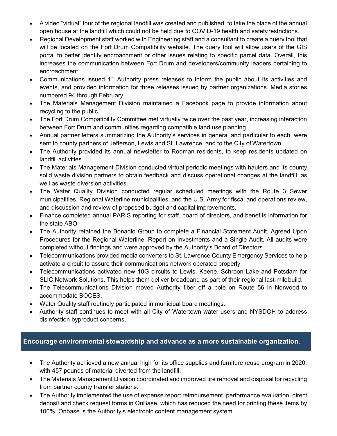- A video "virtual" tour of the regional landfill was created and published, to take the place of the annual open house at the landfill which could not be held due to COVID-19 health and safety restrictions.
- Regional Development staff worked with Engineering staff and a consultant to create a query tool that will be located on the Fort Drum Compatibility website. The query tool will allow users of the GIS portal to better identify encroachment or other issues relating to specific parcel data. Overall, this increases the communication between Fort Drum and developers/community leaders pertaining to encroachment.
- Communications issued 11 Authority press releases to inform the public about its activities and events, and provided information for three releases issued by partner organizations. Media stories numbered 94 through February.
- The Materials Management Division maintained a Facebook page to provide information about recycling to the public.
- The Fort Drum Compatibility Committee met virtually twice over the past year, increasing interaction between Fort Drum and communities regarding compatible land use planning.
- Annual partner letters summarizing the Authority's services in general and particular to each, were sent to county partners of Jefferson, Lewis and St. Lawrence, and to the City of Watertown.
- The Authority provided its annual newsletter to Rodman residents, to keep residents updated on landfill activities.
- The Materials Management Division conducted virtual periodic meetings with haulers and its county solid waste division partners to obtain feedback and discuss operational changes at the landfill, as well as waste diversion activities.
- The Water Quality Division conducted regular scheduled meetings with the Route 3 Sewer municipalities, Regional Waterline municipalities, and the U.S. Army for fiscal and operations review, and discussion and review of proposed budget and capital improvements.
- Finance completed annual PARIS reporting for staff, board of directors, and benefits information for the state ABO.
- The Authority retained the Bonadio Group to complete a Financial Statement Audit, Agreed Upon Procedures for the Regional Waterline, Report on Investments and a Single Audit. All audits were completed without findings and were approved by the Authority's Board of Directors.
- Telecommunications provided media converters to St. Lawrence County Emergency Services to help activate a circuit to assure their communications network operated properly.
- Telecommunications activated new 10G circuits to Lewis, Keene, Schroon Lake and Potsdam for SLIC Network Solutions. This helps them deliver broadband as part of their regional last-mile build.
- The Telecommunications Division moved Authority fiber off a pole on Route 56 in Norwood to accommodate BOCES.
- Water Quality staff routinely participated in municipal board meetings.
- Authority staff continues to meet with all City of Watertown water users and NYSDOH to address disinfection byproduct concerns.

# **Encourage environmental stewardship and advance as a more sustainable organization.**

- The Authority achieved a new annual high for its office supplies and furniture reuse program in 2020, with 457 pounds of material diverted from the landfill.
- The Materials Management Division coordinated and improved tire removal and disposal for recycling from partner county transfer stations.
- The Authority implemented the use of expense report reimbursement, performance evaluation, direct deposit and check request forms in OnBase, which has reduced the need for printing these items by 100%. Onbase is the Authority's electronic content management system.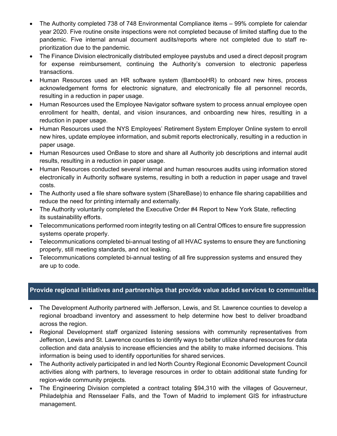- The Authority completed 738 of 748 Environmental Compliance items 99% complete for calendar year 2020. Five routine onsite inspections were not completed because of limited staffing due to the pandemic. Five internal annual document audits/reports where not completed due to staff reprioritization due to the pandemic.
- The Finance Division electronically distributed employee paystubs and used a direct deposit program for expense reimbursement, continuing the Authority's conversion to electronic paperless transactions.
- Human Resources used an HR software system (BambooHR) to onboard new hires, process acknowledgement forms for electronic signature, and electronically file all personnel records, resulting in a reduction in paper usage.
- Human Resources used the Employee Navigator software system to process annual employee open enrollment for health, dental, and vision insurances, and onboarding new hires, resulting in a reduction in paper usage.
- Human Resources used the NYS Employees' Retirement System Employer Online system to enroll new hires, update employee information, and submit reports electronically, resulting in a reduction in paper usage.
- Human Resources used OnBase to store and share all Authority job descriptions and internal audit results, resulting in a reduction in paper usage.
- Human Resources conducted several internal and human resources audits using information stored electronically in Authority software systems, resulting in both a reduction in paper usage and travel costs.
- The Authority used a file share software system (ShareBase) to enhance file sharing capabilities and reduce the need for printing internally and externally.
- The Authority voluntarily completed the Executive Order #4 Report to New York State, reflecting its sustainability efforts.
- Telecommunications performed room integrity testing on all Central Offices to ensure fire suppression systems operate properly.
- Telecommunications completed bi-annual testing of all HVAC systems to ensure they are functioning properly, still meeting standards, and not leaking.
- Telecommunications completed bi-annual testing of all fire suppression systems and ensured they are up to code.

# **Provide regional initiatives and partnerships that provide value added services to communities.**

- The Development Authority partnered with Jefferson, Lewis, and St. Lawrence counties to develop a regional broadband inventory and assessment to help determine how best to deliver broadband across the region.
- Regional Development staff organized listening sessions with community representatives from Jefferson, Lewis and St. Lawrence counties to identify ways to better utilize shared resources for data collection and data analysis to increase efficiencies and the ability to make informed decisions. This information is being used to identify opportunities for shared services.
- The Authority actively participated in and led North Country Regional Economic Development Council activities along with partners, to leverage resources in order to obtain additional state funding for region-wide community projects.
- The Engineering Division completed a contract totaling \$94,310 with the villages of Gouverneur, Philadelphia and Rensselaer Falls, and the Town of Madrid to implement GIS for infrastructure management.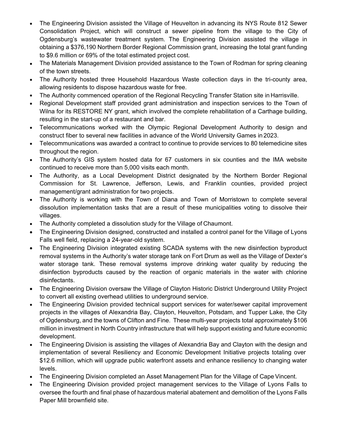- The Engineering Division assisted the Village of Heuvelton in advancing its NYS Route 812 Sewer Consolidation Project, which will construct a sewer pipeline from the village to the City of Ogdensburg's wastewater treatment system. The Engineering Division assisted the village in obtaining a \$376,190 Northern Border Regional Commission grant, increasing the total grant funding to \$9.6 million or 69% of the total estimated project cost.
- The Materials Management Division provided assistance to the Town of Rodman for spring cleaning of the town streets.
- The Authority hosted three Household Hazardous Waste collection days in the tri-county area, allowing residents to dispose hazardous waste for free.
- The Authority commenced operation of the Regional Recycling Transfer Station site in Harrisville.
- Regional Development staff provided grant administration and inspection services to the Town of Wilna for its RESTORE NY grant, which involved the complete rehabilitation of a Carthage building, resulting in the start-up of a restaurant and bar.
- Telecommunications worked with the Olympic Regional Development Authority to design and construct fiber to several new facilities in advance of the World University Games in 2023.
- Telecommunications was awarded a contract to continue to provide services to 80 telemedicine sites throughout the region.
- The Authority's GIS system hosted data for 67 customers in six counties and the IMA website continued to receive more than 5,000 visits each month.
- The Authority, as a Local Development District designated by the Northern Border Regional Commission for St. Lawrence, Jefferson, Lewis, and Franklin counties, provided project management/grant administration for two projects.
- The Authority is working with the Town of Diana and Town of Morristown to complete several dissolution implementation tasks that are a result of these municipalities voting to dissolve their villages.
- The Authority completed a dissolution study for the Village of Chaumont.
- The Engineering Division designed, constructed and installed a control panel for the Village of Lyons Falls well field, replacing a 24-year-old system.
- The Engineering Division integrated existing SCADA systems with the new disinfection byproduct removal systems in the Authority's water storage tank on Fort Drum as well as the Village of Dexter's water storage tank. These removal systems improve drinking water quality by reducing the disinfection byproducts caused by the reaction of organic materials in the water with chlorine disinfectants.
- The Engineering Division oversaw the Village of Clayton Historic District Underground Utility Project to convert all existing overhead utilities to underground service.
- The Engineering Division provided technical support services for water/sewer capital improvement projects in the villages of Alexandria Bay, Clayton, Heuvelton, Potsdam, and Tupper Lake, the City of Ogdensburg, and the towns of Clifton and Fine. These multi-year projects total approximately \$106 million in investment in North Country infrastructure that will help support existing and future economic development.
- The Engineering Division is assisting the villages of Alexandria Bay and Clayton with the design and implementation of several Resiliency and Economic Development Initiative projects totaling over \$12.6 million, which will upgrade public waterfront assets and enhance resiliency to changing water levels.
- The Engineering Division completed an Asset Management Plan for the Village of Cape Vincent.
- The Engineering Division provided project management services to the Village of Lyons Falls to oversee the fourth and final phase of hazardous material abatement and demolition of the Lyons Falls Paper Mill brownfield site.